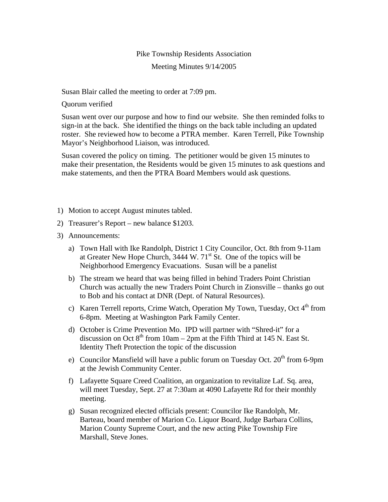## Pike Township Residents Association

## Meeting Minutes 9/14/2005

Susan Blair called the meeting to order at 7:09 pm.

Quorum verified

Susan went over our purpose and how to find our website. She then reminded folks to sign-in at the back. She identified the things on the back table including an updated roster. She reviewed how to become a PTRA member. Karen Terrell, Pike Township Mayor's Neighborhood Liaison, was introduced.

Susan covered the policy on timing. The petitioner would be given 15 minutes to make their presentation, the Residents would be given 15 minutes to ask questions and make statements, and then the PTRA Board Members would ask questions.

- 1) Motion to accept August minutes tabled.
- 2) Treasurer's Report new balance \$1203.
- 3) Announcements:
	- a) Town Hall with Ike Randolph, District 1 City Councilor, Oct. 8th from 9-11am at Greater New Hope Church,  $3444 \text{ W}$ .  $71^{\text{st}}$  St. One of the topics will be Neighborhood Emergency Evacuations. Susan will be a panelist
	- b) The stream we heard that was being filled in behind Traders Point Christian Church was actually the new Traders Point Church in Zionsville – thanks go out to Bob and his contact at DNR (Dept. of Natural Resources).
	- c) Karen Terrell reports, Crime Watch, Operation My Town, Tuesday, Oct  $4<sup>th</sup>$  from 6-8pm. Meeting at Washington Park Family Center.
	- d) October is Crime Prevention Mo. IPD will partner with "Shred-it" for a discussion on Oct  $8<sup>th</sup>$  from 10am – 2pm at the Fifth Third at 145 N. East St. Identity Theft Protection the topic of the discussion
	- e) Councilor Mansfield will have a public forum on Tuesday Oct.  $20<sup>th</sup>$  from 6-9pm at the Jewish Community Center.
	- f) Lafayette Square Creed Coalition, an organization to revitalize Laf. Sq. area, will meet Tuesday, Sept. 27 at 7:30am at 4090 Lafayette Rd for their monthly meeting.
	- g) Susan recognized elected officials present: Councilor Ike Randolph, Mr. Barteau, board member of Marion Co. Liquor Board, Judge Barbara Collins, Marion County Supreme Court, and the new acting Pike Township Fire Marshall, Steve Jones.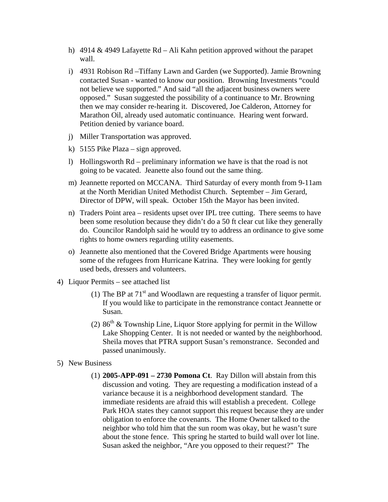- h) 4914 & 4949 Lafayette Rd Ali Kahn petition approved without the parapet wall.
- i) 4931 Robison Rd –Tiffany Lawn and Garden (we Supported). Jamie Browning contacted Susan - wanted to know our position. Browning Investments "could not believe we supported." And said "all the adjacent business owners were opposed." Susan suggested the possibility of a continuance to Mr. Browning then we may consider re-hearing it. Discovered, Joe Calderon, Attorney for Marathon Oil, already used automatic continuance. Hearing went forward. Petition denied by variance board.
- j) Miller Transportation was approved.
- k) 5155 Pike Plaza sign approved.
- l) Hollingsworth Rd preliminary information we have is that the road is not going to be vacated. Jeanette also found out the same thing.
- m) Jeannette reported on MCCANA. Third Saturday of every month from 9-11am at the North Meridian United Methodist Church. September – Jim Gerard, Director of DPW, will speak. October 15th the Mayor has been invited.
- n) Traders Point area residents upset over IPL tree cutting. There seems to have been some resolution because they didn't do a 50 ft clear cut like they generally do. Councilor Randolph said he would try to address an ordinance to give some rights to home owners regarding utility easements.
- o) Jeannette also mentioned that the Covered Bridge Apartments were housing some of the refugees from Hurricane Katrina. They were looking for gently used beds, dressers and volunteers.
- 4) Liquor Permits see attached list
	- (1) The BP at  $71<sup>st</sup>$  and Woodlawn are requesting a transfer of liquor permit. If you would like to participate in the remonstrance contact Jeannette or Susan.
	- (2)  $86<sup>th</sup>$  & Township Line, Liquor Store applying for permit in the Willow Lake Shopping Center. It is not needed or wanted by the neighborhood. Sheila moves that PTRA support Susan's remonstrance. Seconded and passed unanimously.
- 5) New Business
	- (1) **2005-APP-091 2730 Pomona Ct**. Ray Dillon will abstain from this discussion and voting. They are requesting a modification instead of a variance because it is a neighborhood development standard. The immediate residents are afraid this will establish a precedent. College Park HOA states they cannot support this request because they are under obligation to enforce the covenants. The Home Owner talked to the neighbor who told him that the sun room was okay, but he wasn't sure about the stone fence. This spring he started to build wall over lot line. Susan asked the neighbor, "Are you opposed to their request?" The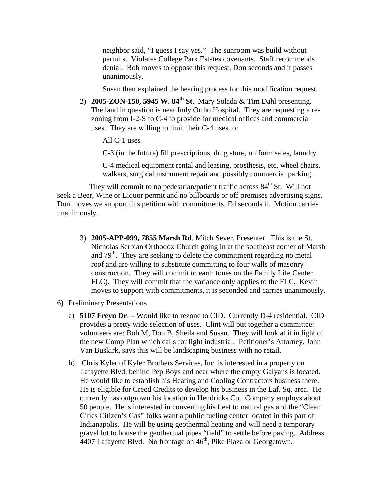neighbor said, "I guess I say yes." The sunroom was build without permits. Violates College Park Estates covenants. Staff recommends denial. Bob moves to oppose this request, Don seconds and it passes unanimously.

Susan then explained the hearing process for this modification request.

- 2) **2005-ZON-150, 5945 W. 84th St**. Mary Solada & Tim Dahl presenting. The land in question is near Indy Ortho Hospital. They are requesting a rezoning from I-2-S to C-4 to provide for medical offices and commercial uses. They are willing to limit their C-4 uses to:
	- All C-1 uses
	- C-3 (in the future) fill prescriptions, drug store, uniform sales, laundry

C-4 medical equipment rental and leasing, prosthesis, etc, wheel chairs, walkers, surgical instrument repair and possibly commercial parking.

They will commit to no pedestrian/patient traffic across  $84<sup>th</sup>$  St. Will not seek a Beer, Wine or Liquor permit and no billboards or off premises advertising signs. Don moves we support this petition with commitments, Ed seconds it. Motion carries unanimously.

- 3) **2005-APP-099, 7855 Marsh Rd**. Mitch Sever, Presenter. This is the St. Nicholas Serbian Orthodox Church going in at the southeast corner of Marsh and  $79<sup>th</sup>$ . They are seeking to delete the commitment regarding no metal roof and are willing to substitute committing to four walls of masonry construction. They will commit to earth tones on the Family Life Center FLC). They will commit that the variance only applies to the FLC. Kevin moves to support with commitments, it is seconded and carries unanimously.
- 6) Preliminary Presentations
	- a) **5107 Freyn Dr**. Would like to rezone to CID. Currently D-4 residential. CID provides a pretty wide selection of uses. Clint will put together a committee: volunteers are: Bob M, Don B, Sheila and Susan. They will look at it in light of the new Comp Plan which calls for light industrial. Petitioner's Attorney, John Van Buskirk, says this will be landscaping business with no retail.
	- b) Chris Kyler of Kyler Brothers Services, Inc. is interested in a property on Lafayette Blvd. behind Pep Boys and near where the empty Galyans is located. He would like to establish his Heating and Cooling Contractors business there. He is eligible for Creed Credits to develop his business in the Laf. Sq. area. He currently has outgrown his location in Hendricks Co. Company employs about 50 people. He is interested in converting his fleet to natural gas and the "Clean Cities Citizen's Gas" folks want a public fueling center located in this part of Indianapolis. He will be using geothermal heating and will need a temporary gravel lot to house the geothermal pipes "field" to settle before paving. Address 4407 Lafayette Blvd. No frontage on 46<sup>th</sup>, Pike Plaza or Georgetown.